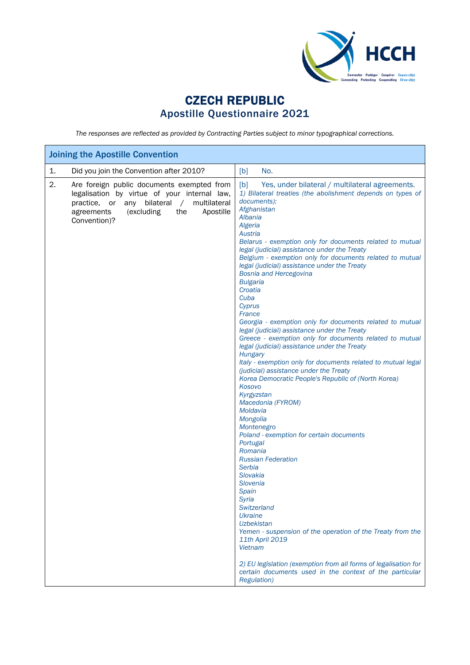

## CZECH REPUBLIC Apostille Questionnaire 2021

*The responses are reflected as provided by Contracting Parties subject to minor typographical corrections.*

| <b>Joining the Apostille Convention</b>                                                                                                                                                                                      |                                                                                                                                                                                                                                                                                                                                                                                                                                                                                                                                                                                                                                                                                                                                                                                                                                                                                                                                                                                                                                                                                                                                                                                                                                                                                                                                                                                                                                                |
|------------------------------------------------------------------------------------------------------------------------------------------------------------------------------------------------------------------------------|------------------------------------------------------------------------------------------------------------------------------------------------------------------------------------------------------------------------------------------------------------------------------------------------------------------------------------------------------------------------------------------------------------------------------------------------------------------------------------------------------------------------------------------------------------------------------------------------------------------------------------------------------------------------------------------------------------------------------------------------------------------------------------------------------------------------------------------------------------------------------------------------------------------------------------------------------------------------------------------------------------------------------------------------------------------------------------------------------------------------------------------------------------------------------------------------------------------------------------------------------------------------------------------------------------------------------------------------------------------------------------------------------------------------------------------------|
| Did you join the Convention after 2010?<br>1.                                                                                                                                                                                | No.<br>[b]                                                                                                                                                                                                                                                                                                                                                                                                                                                                                                                                                                                                                                                                                                                                                                                                                                                                                                                                                                                                                                                                                                                                                                                                                                                                                                                                                                                                                                     |
| 2.<br>Are foreign public documents exempted from<br>legalisation by virtue of your internal law,<br>practice, or any bilateral<br>multilateral<br>$\sqrt{2}$<br>(excluding<br>the<br>Apostille<br>agreements<br>Convention)? | [b]<br>Yes, under bilateral / multilateral agreements.<br>1) Bilateral treaties (the abolishment depends on types of<br>documents):<br>Afghanistan<br>Albania<br>Algeria<br>Austria<br>Belarus - exemption only for documents related to mutual<br>legal (judicial) assistance under the Treaty<br>Belgium - exemption only for documents related to mutual<br>legal (judicial) assistance under the Treaty<br><b>Bosnia and Hercegovina</b><br><b>Bulgaria</b><br>Croatia<br>Cuba<br>Cyprus<br>France<br>Georgia - exemption only for documents related to mutual<br>legal (judicial) assistance under the Treaty<br>Greece - exemption only for documents related to mutual<br>legal (judicial) assistance under the Treaty<br>Hungary<br>Italy - exemption only for documents related to mutual legal<br>(judicial) assistance under the Treaty<br>Korea Democratic People's Republic of (North Korea)<br>Kosovo<br>Kyrgyzstan<br>Macedonia (FYROM)<br>Moldavia<br>Mongolia<br>Montenegro<br>Poland - exemption for certain documents<br>Portugal<br>Romania<br><b>Russian Federation</b><br>Serbia<br>Slovakia<br><b>Slovenia</b><br>Spain<br>Syria<br>Switzerland<br><b>Ukraine</b><br><b>Uzbekistan</b><br>Yemen - suspension of the operation of the Treaty from the<br>11th April 2019<br><b>Vietnam</b><br>2) EU legislation (exemption from all forms of legalisation for<br>certain documents used in the context of the particular |
|                                                                                                                                                                                                                              | <b>Regulation</b> )                                                                                                                                                                                                                                                                                                                                                                                                                                                                                                                                                                                                                                                                                                                                                                                                                                                                                                                                                                                                                                                                                                                                                                                                                                                                                                                                                                                                                            |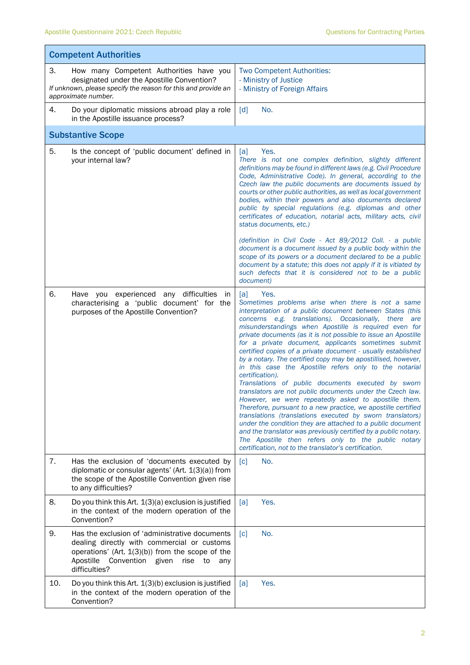$\blacksquare$ 

|     | <b>Competent Authorities</b>                                                                                                                                                                                                |                                                                                                                                                                                                                                                                                                                                                                                                                                                                                                                                                                                                                                                                                                                                                                                                                                                                                                                                                                                                                                                                                                                                                |  |  |  |
|-----|-----------------------------------------------------------------------------------------------------------------------------------------------------------------------------------------------------------------------------|------------------------------------------------------------------------------------------------------------------------------------------------------------------------------------------------------------------------------------------------------------------------------------------------------------------------------------------------------------------------------------------------------------------------------------------------------------------------------------------------------------------------------------------------------------------------------------------------------------------------------------------------------------------------------------------------------------------------------------------------------------------------------------------------------------------------------------------------------------------------------------------------------------------------------------------------------------------------------------------------------------------------------------------------------------------------------------------------------------------------------------------------|--|--|--|
| 3.  | How many Competent Authorities have you<br>designated under the Apostille Convention?<br>If unknown, please specify the reason for this and provide an<br>approximate number.                                               | Two Competent Authorities:<br>- Ministry of Justice<br>- Ministry of Foreign Affairs                                                                                                                                                                                                                                                                                                                                                                                                                                                                                                                                                                                                                                                                                                                                                                                                                                                                                                                                                                                                                                                           |  |  |  |
| 4.  | Do your diplomatic missions abroad play a role<br>in the Apostille issuance process?                                                                                                                                        | No.<br>[d]                                                                                                                                                                                                                                                                                                                                                                                                                                                                                                                                                                                                                                                                                                                                                                                                                                                                                                                                                                                                                                                                                                                                     |  |  |  |
|     | <b>Substantive Scope</b>                                                                                                                                                                                                    |                                                                                                                                                                                                                                                                                                                                                                                                                                                                                                                                                                                                                                                                                                                                                                                                                                                                                                                                                                                                                                                                                                                                                |  |  |  |
| 5.  | Is the concept of 'public document' defined in<br>your internal law?                                                                                                                                                        | [a]<br>Yes.<br>There is not one complex definition, slightly different<br>definitions may be found in different laws (e.g. Civil Procedure<br>Code, Administrative Code). In general, according to the<br>Czech law the public documents are documents issued by<br>courts or other public authorities, as well as local government<br>bodies, within their powers and also documents declared<br>public by special regulations (e.g. diplomas and other<br>certificates of education, notarial acts, military acts, civil<br>status documents, etc.)                                                                                                                                                                                                                                                                                                                                                                                                                                                                                                                                                                                          |  |  |  |
|     |                                                                                                                                                                                                                             | (definition in Civil Code - Act 89/2012 Coll. - a public<br>document is a document issued by a public body within the<br>scope of its powers or a document declared to be a public<br>document by a statute; this does not apply if it is vitiated by<br>such defects that it is considered not to be a public<br>document)                                                                                                                                                                                                                                                                                                                                                                                                                                                                                                                                                                                                                                                                                                                                                                                                                    |  |  |  |
| 6.  | Have you experienced any difficulties<br>in<br>characterising a 'public document' for the<br>purposes of the Apostille Convention?                                                                                          | Yes.<br>[a]<br>Sometimes problems arise when there is not a same<br>interpretation of a public document between States (this<br>concerns e.g. translations). Occasionally, there are<br>misunderstandings when Apostille is required even for<br>private documents (as it is not possible to issue an Apostille<br>for a private document, applicants sometimes submit<br>certified copies of a private document - usually established<br>by a notary. The certified copy may be apostillised, however,<br>in this case the Apostille refers only to the notarial<br>certification).<br>Translations of public documents executed by sworn<br>translators are not public documents under the Czech law.<br>However, we were repeatedly asked to apostille them.<br>Therefore, pursuant to a new practice, we apostille certified<br>translations (translations executed by sworn translators)<br>under the condition they are attached to a public document<br>and the translator was previously certified by a public notary.<br>The Apostille then refers only to the public notary<br>certification, not to the translator's certification. |  |  |  |
| 7.  | Has the exclusion of 'documents executed by<br>diplomatic or consular agents' (Art. 1(3)(a)) from<br>the scope of the Apostille Convention given rise<br>to any difficulties?                                               | No.<br>$\lceil c \rceil$                                                                                                                                                                                                                                                                                                                                                                                                                                                                                                                                                                                                                                                                                                                                                                                                                                                                                                                                                                                                                                                                                                                       |  |  |  |
| 8.  | Do you think this Art. 1(3)(a) exclusion is justified<br>in the context of the modern operation of the<br>Convention?                                                                                                       | Yes.<br>[a]                                                                                                                                                                                                                                                                                                                                                                                                                                                                                                                                                                                                                                                                                                                                                                                                                                                                                                                                                                                                                                                                                                                                    |  |  |  |
| 9.  | Has the exclusion of 'administrative documents<br>dealing directly with commercial or customs<br>operations' (Art. $1(3)(b)$ ) from the scope of the<br>Convention given<br>Apostille<br>rise<br>to<br>any<br>difficulties? | No.<br>$\lceil c \rceil$                                                                                                                                                                                                                                                                                                                                                                                                                                                                                                                                                                                                                                                                                                                                                                                                                                                                                                                                                                                                                                                                                                                       |  |  |  |
| 10. | Do you think this Art. 1(3)(b) exclusion is justified<br>in the context of the modern operation of the<br>Convention?                                                                                                       | Yes.<br>[a]                                                                                                                                                                                                                                                                                                                                                                                                                                                                                                                                                                                                                                                                                                                                                                                                                                                                                                                                                                                                                                                                                                                                    |  |  |  |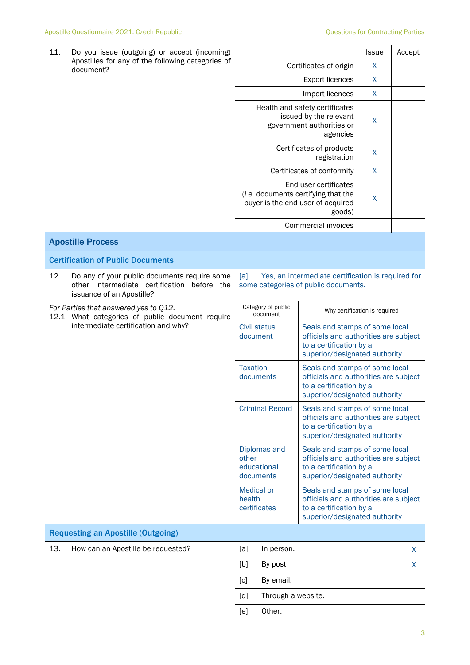| 11.                                                                                                                              | Do you issue (outgoing) or accept (incoming)                                                                             |                                                                                                                                                                                    |                                                                                                                                                                                          | <b>Issue</b>                  | Accept       |   |
|----------------------------------------------------------------------------------------------------------------------------------|--------------------------------------------------------------------------------------------------------------------------|------------------------------------------------------------------------------------------------------------------------------------------------------------------------------------|------------------------------------------------------------------------------------------------------------------------------------------------------------------------------------------|-------------------------------|--------------|---|
|                                                                                                                                  | Apostilles for any of the following categories of<br>document?                                                           |                                                                                                                                                                                    | Certificates of origin                                                                                                                                                                   | X                             |              |   |
|                                                                                                                                  |                                                                                                                          |                                                                                                                                                                                    |                                                                                                                                                                                          | X                             |              |   |
|                                                                                                                                  |                                                                                                                          |                                                                                                                                                                                    |                                                                                                                                                                                          | Import licences               | X            |   |
|                                                                                                                                  |                                                                                                                          |                                                                                                                                                                                    | Health and safety certificates<br>issued by the relevant<br>government authorities or                                                                                                    | X                             |              |   |
|                                                                                                                                  |                                                                                                                          |                                                                                                                                                                                    | Certificates of products                                                                                                                                                                 | X                             |              |   |
|                                                                                                                                  |                                                                                                                          |                                                                                                                                                                                    |                                                                                                                                                                                          | Certificates of conformity    | $\mathsf{X}$ |   |
|                                                                                                                                  |                                                                                                                          |                                                                                                                                                                                    | End user certificates<br>(i.e. documents certifying that the<br>buyer is the end user of acquired<br>goods)                                                                              |                               |              |   |
|                                                                                                                                  |                                                                                                                          |                                                                                                                                                                                    |                                                                                                                                                                                          | Commercial invoices           |              |   |
|                                                                                                                                  | <b>Apostille Process</b>                                                                                                 |                                                                                                                                                                                    |                                                                                                                                                                                          |                               |              |   |
|                                                                                                                                  | <b>Certification of Public Documents</b>                                                                                 |                                                                                                                                                                                    |                                                                                                                                                                                          |                               |              |   |
| 12.                                                                                                                              | Do any of your public documents require some<br>other intermediate certification before the<br>issuance of an Apostille? | [a]<br>Yes, an intermediate certification is required for<br>some categories of public documents.                                                                                  |                                                                                                                                                                                          |                               |              |   |
| For Parties that answered yes to Q12.<br>12.1. What categories of public document require<br>intermediate certification and why? |                                                                                                                          |                                                                                                                                                                                    | Category of public<br>document                                                                                                                                                           | Why certification is required |              |   |
|                                                                                                                                  |                                                                                                                          |                                                                                                                                                                                    | <b>Civil status</b><br>Seals and stamps of some local<br>officials and authorities are subject<br>document<br>to a certification by a<br>superior/designated authority                   |                               |              |   |
|                                                                                                                                  |                                                                                                                          | <b>Taxation</b><br>Seals and stamps of some local<br>officials and authorities are subject<br>documents<br>to a certification by a<br>superior/designated authority                |                                                                                                                                                                                          |                               |              |   |
|                                                                                                                                  |                                                                                                                          | <b>Criminal Record</b><br>Seals and stamps of some local<br>officials and authorities are subject<br>to a certification by a<br>superior/designated authority                      |                                                                                                                                                                                          |                               |              |   |
|                                                                                                                                  |                                                                                                                          |                                                                                                                                                                                    | Diplomas and<br>Seals and stamps of some local<br>other<br>officials and authorities are subject<br>educational<br>to a certification by a<br>superior/designated authority<br>documents |                               |              |   |
|                                                                                                                                  |                                                                                                                          | <b>Medical or</b><br>Seals and stamps of some local<br>health<br>officials and authorities are subject<br>certificates<br>to a certification by a<br>superior/designated authority |                                                                                                                                                                                          |                               |              |   |
|                                                                                                                                  | <b>Requesting an Apostille (Outgoing)</b>                                                                                |                                                                                                                                                                                    |                                                                                                                                                                                          |                               |              |   |
| 13.                                                                                                                              | How can an Apostille be requested?                                                                                       | [a]                                                                                                                                                                                | In person.                                                                                                                                                                               |                               |              | X |
|                                                                                                                                  |                                                                                                                          | [b]                                                                                                                                                                                | By post.                                                                                                                                                                                 |                               |              | X |
|                                                                                                                                  |                                                                                                                          | [c]<br>By email.                                                                                                                                                                   |                                                                                                                                                                                          |                               |              |   |
|                                                                                                                                  | Through a website.<br>[d]                                                                                                |                                                                                                                                                                                    |                                                                                                                                                                                          |                               |              |   |
|                                                                                                                                  |                                                                                                                          | [e]                                                                                                                                                                                | Other.                                                                                                                                                                                   |                               |              |   |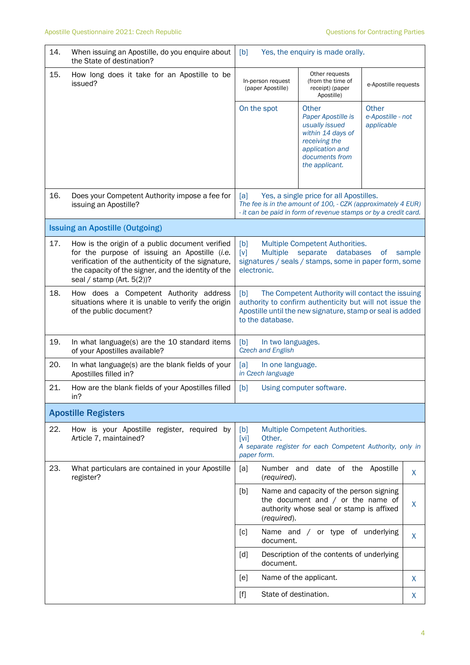| 14. | When issuing an Apostille, do you enquire about<br>the State of destination?                                                                                                                                                               | [b]                                                                                                                                                                                                                                                                            | Yes, the enquiry is made orally.                                                                                                                                           |                                          |              |
|-----|--------------------------------------------------------------------------------------------------------------------------------------------------------------------------------------------------------------------------------------------|--------------------------------------------------------------------------------------------------------------------------------------------------------------------------------------------------------------------------------------------------------------------------------|----------------------------------------------------------------------------------------------------------------------------------------------------------------------------|------------------------------------------|--------------|
| 15. | How long does it take for an Apostille to be<br>issued?                                                                                                                                                                                    | In-person request<br>(paper Apostille)                                                                                                                                                                                                                                         | Other requests<br>(from the time of<br>receipt) (paper<br>Apostille)                                                                                                       | e-Apostille requests                     |              |
|     |                                                                                                                                                                                                                                            | On the spot                                                                                                                                                                                                                                                                    | Other<br>Paper Apostille is<br>usually issued<br>within 14 days of<br>receiving the<br>application and<br>documents from<br>the applicant.                                 | Other<br>e-Apostille - not<br>applicable |              |
| 16. | Does your Competent Authority impose a fee for<br>issuing an Apostille?                                                                                                                                                                    | [a]                                                                                                                                                                                                                                                                            | Yes, a single price for all Apostilles.<br>The fee is in the amount of 100, - CZK (approximately 4 EUR)<br>- it can be paid in form of revenue stamps or by a credit card. |                                          |              |
|     | <b>Issuing an Apostille (Outgoing)</b>                                                                                                                                                                                                     |                                                                                                                                                                                                                                                                                |                                                                                                                                                                            |                                          |              |
| 17. | How is the origin of a public document verified<br>for the purpose of issuing an Apostille (i.e.<br>verification of the authenticity of the signature,<br>the capacity of the signer, and the identity of the<br>seal / stamp (Art. 5(2))? | [b]<br><b>Multiple</b><br>[v]<br>electronic.                                                                                                                                                                                                                                   | Multiple Competent Authorities.<br>databases<br>separate<br>signatures / seals / stamps, some in paper form, some                                                          | <b>of</b>                                | sample       |
| 18. | How does a Competent Authority address<br>situations where it is unable to verify the origin<br>of the public document?                                                                                                                    | [b]<br>to the database.                                                                                                                                                                                                                                                        | The Competent Authority will contact the issuing<br>authority to confirm authenticity but will not issue the<br>Apostille until the new signature, stamp or seal is added  |                                          |              |
| 19. | In what language(s) are the 10 standard items<br>of your Apostilles available?                                                                                                                                                             | [b]<br>In two languages.<br>Czech and English                                                                                                                                                                                                                                  |                                                                                                                                                                            |                                          |              |
| 20. | In what language(s) are the blank fields of your<br>Apostilles filled in?                                                                                                                                                                  | [a]<br>In one language.<br>in Czech language                                                                                                                                                                                                                                   |                                                                                                                                                                            |                                          |              |
| 21. | How are the blank fields of your Apostilles filled<br>in?                                                                                                                                                                                  | [b]                                                                                                                                                                                                                                                                            | Using computer software.                                                                                                                                                   |                                          |              |
|     | <b>Apostille Registers</b>                                                                                                                                                                                                                 |                                                                                                                                                                                                                                                                                |                                                                                                                                                                            |                                          |              |
| 22. | How is your Apostille register, required by<br>Article 7, maintained?                                                                                                                                                                      | [b]<br>[vi]<br>Other.<br>paper form.                                                                                                                                                                                                                                           | Multiple Competent Authorities.<br>A separate register for each Competent Authority, only in                                                                               |                                          |              |
| 23. | What particulars are contained in your Apostille<br>register?                                                                                                                                                                              | [a]<br>Number and<br>(required).                                                                                                                                                                                                                                               | date of the                                                                                                                                                                | Apostille                                | $\mathsf{X}$ |
|     |                                                                                                                                                                                                                                            | [b]<br>(required).                                                                                                                                                                                                                                                             | Name and capacity of the person signing<br>the document and $/$ or the name of<br>authority whose seal or stamp is affixed                                                 |                                          | X            |
|     |                                                                                                                                                                                                                                            | [c]<br>document.                                                                                                                                                                                                                                                               | Name and / or type of underlying                                                                                                                                           |                                          | X            |
|     |                                                                                                                                                                                                                                            | [d]<br>document.                                                                                                                                                                                                                                                               | Description of the contents of underlying                                                                                                                                  |                                          |              |
|     |                                                                                                                                                                                                                                            | [e]                                                                                                                                                                                                                                                                            | Name of the applicant.                                                                                                                                                     |                                          | X            |
|     |                                                                                                                                                                                                                                            | State of destination.<br>$[f] % \begin{center} % \includegraphics[width=\linewidth]{imagesSupplemental_3.png} % \end{center} % \caption { % Our method can be used for the use of the image. % Note that the \emph{Left:} \label{fig:case} \vspace{-1em} % \label{fig:case} %$ |                                                                                                                                                                            |                                          | X            |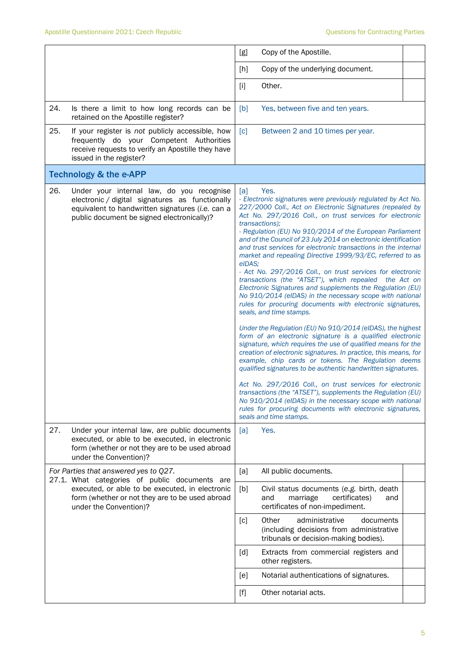|                                                                                        |                                                                                                                                                   | [g]           | Copy of the Apostille.                                                                                                                                                                                                                                                                                                                                                                                                                                                                                                                                                                                                                                                                                                                                                                                                                                                                                                                                                                                                                                                                                                                                                                                                                                                                                                                                                                                                                                         |  |
|----------------------------------------------------------------------------------------|---------------------------------------------------------------------------------------------------------------------------------------------------|---------------|----------------------------------------------------------------------------------------------------------------------------------------------------------------------------------------------------------------------------------------------------------------------------------------------------------------------------------------------------------------------------------------------------------------------------------------------------------------------------------------------------------------------------------------------------------------------------------------------------------------------------------------------------------------------------------------------------------------------------------------------------------------------------------------------------------------------------------------------------------------------------------------------------------------------------------------------------------------------------------------------------------------------------------------------------------------------------------------------------------------------------------------------------------------------------------------------------------------------------------------------------------------------------------------------------------------------------------------------------------------------------------------------------------------------------------------------------------------|--|
|                                                                                        |                                                                                                                                                   | [h]           | Copy of the underlying document.                                                                                                                                                                                                                                                                                                                                                                                                                                                                                                                                                                                                                                                                                                                                                                                                                                                                                                                                                                                                                                                                                                                                                                                                                                                                                                                                                                                                                               |  |
|                                                                                        |                                                                                                                                                   | $[1]$         | Other.                                                                                                                                                                                                                                                                                                                                                                                                                                                                                                                                                                                                                                                                                                                                                                                                                                                                                                                                                                                                                                                                                                                                                                                                                                                                                                                                                                                                                                                         |  |
| 24.<br>retained on the Apostille register?                                             | Is there a limit to how long records can be                                                                                                       | [b]           | Yes, between five and ten years.                                                                                                                                                                                                                                                                                                                                                                                                                                                                                                                                                                                                                                                                                                                                                                                                                                                                                                                                                                                                                                                                                                                                                                                                                                                                                                                                                                                                                               |  |
| 25.<br>issued in the register?                                                         | If your register is not publicly accessible, how<br>frequently do your Competent Authorities<br>receive requests to verify an Apostille they have | [c]           | Between 2 and 10 times per year.                                                                                                                                                                                                                                                                                                                                                                                                                                                                                                                                                                                                                                                                                                                                                                                                                                                                                                                                                                                                                                                                                                                                                                                                                                                                                                                                                                                                                               |  |
| <b>Technology &amp; the e-APP</b>                                                      |                                                                                                                                                   |               |                                                                                                                                                                                                                                                                                                                                                                                                                                                                                                                                                                                                                                                                                                                                                                                                                                                                                                                                                                                                                                                                                                                                                                                                                                                                                                                                                                                                                                                                |  |
| 26.<br>public document be signed electronically)?                                      | Under your internal law, do you recognise<br>electronic / digital signatures as functionally<br>equivalent to handwritten signatures (i.e. can a  | [a]<br>eIDAS: | Yes.<br>- Electronic signatures were previously regulated by Act No.<br>227/2000 Coll., Act on Electronic Signatures (repealed by<br>Act No. 297/2016 Coll., on trust services for electronic<br>transactions);<br>- Regulation (EU) No 910/2014 of the European Parliament<br>and of the Council of 23 July 2014 on electronic identification<br>and trust services for electronic transactions in the internal<br>market and repealing Directive 1999/93/EC, referred to as<br>- Act No. 297/2016 Coll., on trust services for electronic<br>transactions (the "ATSET"), which repealed the Act on<br>Electronic Signatures and supplements the Regulation (EU)<br>No 910/2014 (eIDAS) in the necessary scope with national<br>rules for procuring documents with electronic signatures,<br>seals, and time stamps.<br>Under the Regulation (EU) No 910/2014 (eIDAS), the highest<br>form of an electronic signature is a qualified electronic<br>signature, which requires the use of qualified means for the<br>creation of electronic signatures. In practice, this means, for<br>example, chip cards or tokens. The Regulation deems<br>qualified signatures to be authentic handwritten signatures.<br>Act No. 297/2016 Coll., on trust services for electronic<br>transactions (the "ATSET"), supplements the Regulation (EU)<br>No 910/2014 (eIDAS) in the necessary scope with national<br>rules for procuring documents with electronic signatures, |  |
| 27.                                                                                    | Under your internal law, are public documents<br>executed, or able to be executed, in electronic                                                  | [a]           | seals and time stamps.<br>Yes.                                                                                                                                                                                                                                                                                                                                                                                                                                                                                                                                                                                                                                                                                                                                                                                                                                                                                                                                                                                                                                                                                                                                                                                                                                                                                                                                                                                                                                 |  |
| under the Convention)?                                                                 | form (whether or not they are to be used abroad                                                                                                   |               |                                                                                                                                                                                                                                                                                                                                                                                                                                                                                                                                                                                                                                                                                                                                                                                                                                                                                                                                                                                                                                                                                                                                                                                                                                                                                                                                                                                                                                                                |  |
| For Parties that answered yes to Q27.<br>27.1. What categories of public documents are |                                                                                                                                                   | [a]           | All public documents.                                                                                                                                                                                                                                                                                                                                                                                                                                                                                                                                                                                                                                                                                                                                                                                                                                                                                                                                                                                                                                                                                                                                                                                                                                                                                                                                                                                                                                          |  |
| under the Convention)?                                                                 | executed, or able to be executed, in electronic<br>form (whether or not they are to be used abroad                                                | [b]           | Civil status documents (e.g. birth, death<br>and<br>marriage<br>certificates)<br>and<br>certificates of non-impediment.                                                                                                                                                                                                                                                                                                                                                                                                                                                                                                                                                                                                                                                                                                                                                                                                                                                                                                                                                                                                                                                                                                                                                                                                                                                                                                                                        |  |
|                                                                                        |                                                                                                                                                   | [c]           | Other<br>administrative<br>documents<br>(including decisions from administrative<br>tribunals or decision-making bodies).                                                                                                                                                                                                                                                                                                                                                                                                                                                                                                                                                                                                                                                                                                                                                                                                                                                                                                                                                                                                                                                                                                                                                                                                                                                                                                                                      |  |
|                                                                                        |                                                                                                                                                   | [d]           | Extracts from commercial registers and<br>other registers.                                                                                                                                                                                                                                                                                                                                                                                                                                                                                                                                                                                                                                                                                                                                                                                                                                                                                                                                                                                                                                                                                                                                                                                                                                                                                                                                                                                                     |  |
|                                                                                        |                                                                                                                                                   | [e]           | Notarial authentications of signatures.                                                                                                                                                                                                                                                                                                                                                                                                                                                                                                                                                                                                                                                                                                                                                                                                                                                                                                                                                                                                                                                                                                                                                                                                                                                                                                                                                                                                                        |  |
|                                                                                        |                                                                                                                                                   |               | Other notarial acts.                                                                                                                                                                                                                                                                                                                                                                                                                                                                                                                                                                                                                                                                                                                                                                                                                                                                                                                                                                                                                                                                                                                                                                                                                                                                                                                                                                                                                                           |  |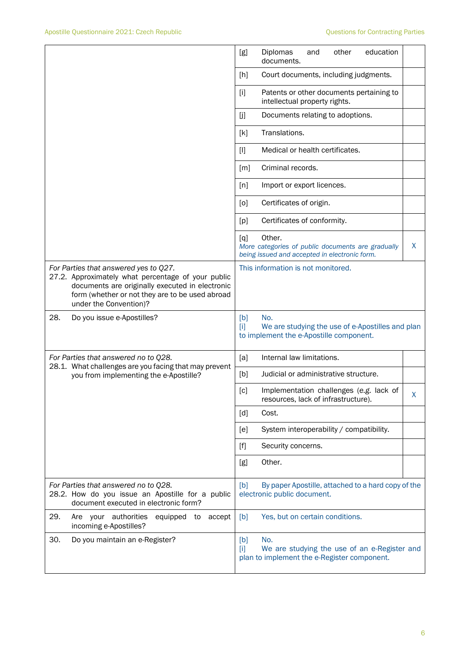|                                                                                                                                                                                                                             | Diplomas<br>other<br>education<br>[g]<br>and<br>documents.                                                               |
|-----------------------------------------------------------------------------------------------------------------------------------------------------------------------------------------------------------------------------|--------------------------------------------------------------------------------------------------------------------------|
|                                                                                                                                                                                                                             | Court documents, including judgments.<br>[h]                                                                             |
|                                                                                                                                                                                                                             | Patents or other documents pertaining to<br>$[1]$<br>intellectual property rights.                                       |
|                                                                                                                                                                                                                             | [j]<br>Documents relating to adoptions.                                                                                  |
|                                                                                                                                                                                                                             | Translations.<br>[k]                                                                                                     |
|                                                                                                                                                                                                                             | Medical or health certificates.<br>$[1]$                                                                                 |
|                                                                                                                                                                                                                             | Criminal records.<br>[m]                                                                                                 |
|                                                                                                                                                                                                                             | [n]<br>Import or export licences.                                                                                        |
|                                                                                                                                                                                                                             | Certificates of origin.<br>[0]                                                                                           |
|                                                                                                                                                                                                                             | Certificates of conformity.<br>[p]                                                                                       |
|                                                                                                                                                                                                                             | Other.<br>[q]<br>X<br>More categories of public documents are gradually<br>being issued and accepted in electronic form. |
| For Parties that answered yes to Q27.<br>27.2. Approximately what percentage of your public<br>documents are originally executed in electronic<br>form (whether or not they are to be used abroad<br>under the Convention)? | This information is not monitored.                                                                                       |
| 28.<br>Do you issue e-Apostilles?                                                                                                                                                                                           | [b]<br>No.<br>We are studying the use of e-Apostilles and plan<br>$[1]$<br>to implement the e-Apostille component.       |
|                                                                                                                                                                                                                             |                                                                                                                          |
| For Parties that answered no to Q28.                                                                                                                                                                                        | Internal law limitations.<br>[a]                                                                                         |
| 28.1. What challenges are you facing that may prevent<br>you from implementing the e-Apostille?                                                                                                                             | [b]<br>Judicial or administrative structure.                                                                             |
|                                                                                                                                                                                                                             | [c]<br>Implementation challenges (e.g. lack of<br>X                                                                      |
|                                                                                                                                                                                                                             | resources, lack of infrastructure).<br>Cost.<br>[d]                                                                      |
|                                                                                                                                                                                                                             | System interoperability / compatibility.<br>[e]                                                                          |
|                                                                                                                                                                                                                             | $[f]$<br>Security concerns.                                                                                              |
|                                                                                                                                                                                                                             | Other.<br>[g]                                                                                                            |
| For Parties that answered no to Q28.<br>28.2. How do you issue an Apostille for a public<br>document executed in electronic form?                                                                                           | By paper Apostille, attached to a hard copy of the<br>[b]<br>electronic public document.                                 |
| 29.<br>Are your authorities<br>equipped to<br>accept<br>incoming e-Apostilles?                                                                                                                                              | [b]<br>Yes, but on certain conditions.                                                                                   |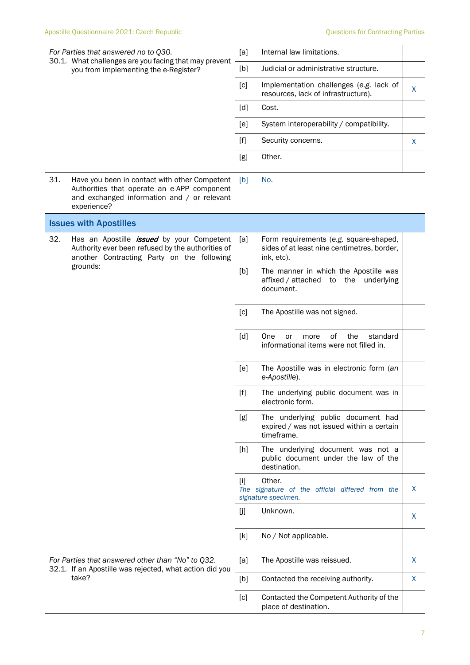| For Parties that answered no to Q30.                                                           |                                                                                                                                                            | [a]                                                                                                                                                                                                                                                   | Internal law limitations.                                                                           |    |
|------------------------------------------------------------------------------------------------|------------------------------------------------------------------------------------------------------------------------------------------------------------|-------------------------------------------------------------------------------------------------------------------------------------------------------------------------------------------------------------------------------------------------------|-----------------------------------------------------------------------------------------------------|----|
| 30.1. What challenges are you facing that may prevent<br>you from implementing the e-Register? | [b]                                                                                                                                                        | Judicial or administrative structure.                                                                                                                                                                                                                 |                                                                                                     |    |
|                                                                                                |                                                                                                                                                            | [c]                                                                                                                                                                                                                                                   | Implementation challenges (e.g. lack of<br>resources, lack of infrastructure).                      | X  |
|                                                                                                |                                                                                                                                                            | [d]                                                                                                                                                                                                                                                   | Cost.                                                                                               |    |
|                                                                                                |                                                                                                                                                            | [e]                                                                                                                                                                                                                                                   | System interoperability / compatibility.                                                            |    |
|                                                                                                |                                                                                                                                                            | $[f]$                                                                                                                                                                                                                                                 | Security concerns.                                                                                  | X. |
|                                                                                                |                                                                                                                                                            | [g]                                                                                                                                                                                                                                                   | Other.                                                                                              |    |
| 31.                                                                                            | Have you been in contact with other Competent<br>Authorities that operate an e-APP component<br>and exchanged information and / or relevant<br>experience? | [b]                                                                                                                                                                                                                                                   | No.                                                                                                 |    |
|                                                                                                | <b>Issues with Apostilles</b>                                                                                                                              |                                                                                                                                                                                                                                                       |                                                                                                     |    |
| 32.                                                                                            | Has an Apostille <i>issued</i> by your Competent<br>Authority ever been refused by the authorities of<br>another Contracting Party on the following        | [a]                                                                                                                                                                                                                                                   | Form requirements (e.g. square-shaped,<br>sides of at least nine centimetres, border,<br>ink, etc). |    |
| grounds:                                                                                       |                                                                                                                                                            | [b]                                                                                                                                                                                                                                                   | The manner in which the Apostille was<br>affixed / attached to<br>the<br>underlying<br>document.    |    |
|                                                                                                |                                                                                                                                                            | [c]                                                                                                                                                                                                                                                   | The Apostille was not signed.                                                                       |    |
|                                                                                                |                                                                                                                                                            | [d]                                                                                                                                                                                                                                                   | 0f<br>the<br>standard<br>One<br>or<br>more<br>informational items were not filled in.               |    |
|                                                                                                |                                                                                                                                                            | [e]                                                                                                                                                                                                                                                   | The Apostille was in electronic form (an<br>e-Apostille).                                           |    |
|                                                                                                |                                                                                                                                                            | $[f] % \begin{center} % \includegraphics[width=\linewidth]{imagesSupplemental_3.png} % \end{center} % \caption { % Our method can be used for the use of the image. % Note that the \emph{Left:} \label{fig:case} \vspace{-1em} % \label{fig:case} %$ | The underlying public document was in<br>electronic form.                                           |    |
|                                                                                                |                                                                                                                                                            | [g]                                                                                                                                                                                                                                                   | The underlying public document had<br>expired / was not issued within a certain<br>timeframe.       |    |
|                                                                                                |                                                                                                                                                            | $[h]$                                                                                                                                                                                                                                                 | The underlying document was not a<br>public document under the law of the<br>destination.           |    |
|                                                                                                |                                                                                                                                                            | $\lceil i \rceil$                                                                                                                                                                                                                                     | Other.<br>The signature of the official differed from the<br>signature specimen.                    | X  |
|                                                                                                |                                                                                                                                                            | [j]                                                                                                                                                                                                                                                   | Unknown.                                                                                            | X. |
|                                                                                                |                                                                                                                                                            | [k]                                                                                                                                                                                                                                                   | No / Not applicable.                                                                                |    |
|                                                                                                | For Parties that answered other than "No" to Q32.<br>32.1. If an Apostille was rejected, what action did you<br>take?                                      | [a]                                                                                                                                                                                                                                                   | The Apostille was reissued.                                                                         | X  |
|                                                                                                |                                                                                                                                                            | [b]                                                                                                                                                                                                                                                   | Contacted the receiving authority.                                                                  | X. |
|                                                                                                |                                                                                                                                                            | [c]                                                                                                                                                                                                                                                   | Contacted the Competent Authority of the<br>place of destination.                                   |    |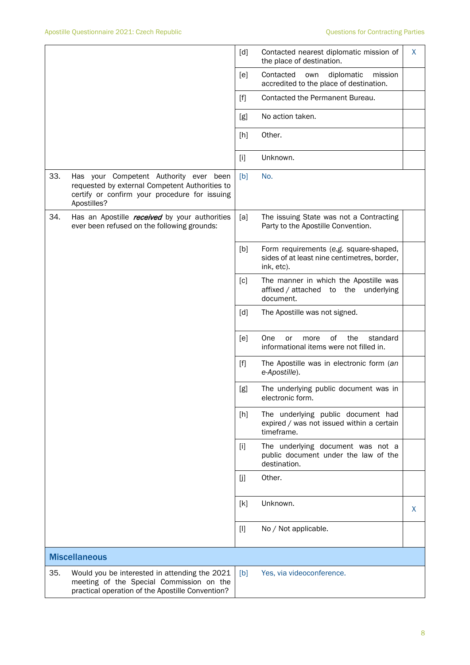|     |                                                                                                                                                          | [d]   | Contacted nearest diplomatic mission of<br>the place of destination.                                | X  |
|-----|----------------------------------------------------------------------------------------------------------------------------------------------------------|-------|-----------------------------------------------------------------------------------------------------|----|
|     |                                                                                                                                                          | [e]   | Contacted<br>diplomatic<br>mission<br>own<br>accredited to the place of destination.                |    |
|     |                                                                                                                                                          | $[f]$ | Contacted the Permanent Bureau.                                                                     |    |
|     |                                                                                                                                                          | [g]   | No action taken.                                                                                    |    |
|     |                                                                                                                                                          | [h]   | Other.                                                                                              |    |
|     |                                                                                                                                                          | $[1]$ | Unknown.                                                                                            |    |
| 33. | Has your Competent Authority ever been<br>requested by external Competent Authorities to<br>certify or confirm your procedure for issuing<br>Apostilles? | [b]   | No.                                                                                                 |    |
| 34. | Has an Apostille <i>received</i> by your authorities<br>ever been refused on the following grounds:                                                      | [a]   | The issuing State was not a Contracting<br>Party to the Apostille Convention.                       |    |
|     |                                                                                                                                                          | [b]   | Form requirements (e.g. square-shaped,<br>sides of at least nine centimetres, border,<br>ink, etc). |    |
|     |                                                                                                                                                          | [c]   | The manner in which the Apostille was<br>affixed / attached to<br>the<br>underlying<br>document.    |    |
|     |                                                                                                                                                          | [d]   | The Apostille was not signed.                                                                       |    |
|     |                                                                                                                                                          | [e]   | One<br>οf<br>the<br>standard<br>or<br>more<br>informational items were not filled in.               |    |
|     |                                                                                                                                                          | $[f]$ | The Apostille was in electronic form (an<br>e-Apostille).                                           |    |
|     |                                                                                                                                                          | [g]   | The underlying public document was in<br>electronic form.                                           |    |
|     |                                                                                                                                                          | [h]   | The underlying public document had<br>expired / was not issued within a certain<br>timeframe.       |    |
|     |                                                                                                                                                          | $[1]$ | The underlying document was not a<br>public document under the law of the<br>destination.           |    |
|     |                                                                                                                                                          | [j    | Other.                                                                                              |    |
|     |                                                                                                                                                          | [k]   | Unknown.                                                                                            | X. |
|     |                                                                                                                                                          | $[1]$ | No / Not applicable.                                                                                |    |
|     | <b>Miscellaneous</b>                                                                                                                                     |       |                                                                                                     |    |
| 35. | Would you be interested in attending the 2021<br>meeting of the Special Commission on the<br>practical operation of the Apostille Convention?            | [b]   | Yes, via videoconference.                                                                           |    |